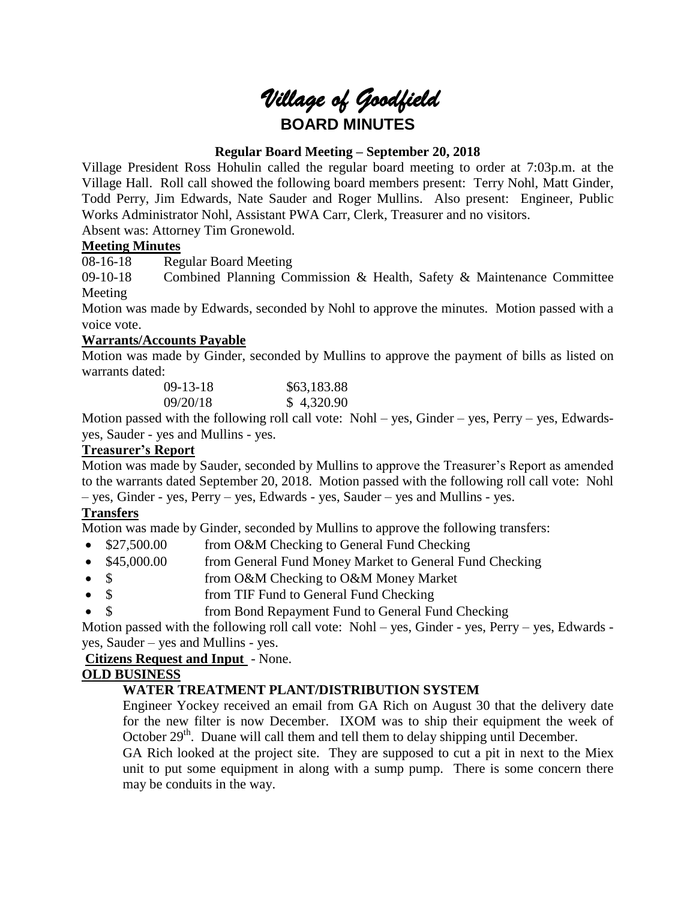# *Village of Goodfield* **BOARD MINUTES**

# **Regular Board Meeting – September 20, 2018**

Village President Ross Hohulin called the regular board meeting to order at 7:03p.m. at the Village Hall. Roll call showed the following board members present: Terry Nohl, Matt Ginder, Todd Perry, Jim Edwards, Nate Sauder and Roger Mullins. Also present: Engineer, Public Works Administrator Nohl, Assistant PWA Carr, Clerk, Treasurer and no visitors. Absent was: Attorney Tim Gronewold.

## **Meeting Minutes**

08-16-18 Regular Board Meeting

09-10-18 Combined Planning Commission & Health, Safety & Maintenance Committee Meeting

Motion was made by Edwards, seconded by Nohl to approve the minutes. Motion passed with a voice vote.

## **Warrants/Accounts Payable**

Motion was made by Ginder, seconded by Mullins to approve the payment of bills as listed on warrants dated:

| $(09-13-18)$ | \$63,183.88 |
|--------------|-------------|
| 09/20/18     | \$4,320.90  |

Motion passed with the following roll call vote: Nohl – yes, Ginder – yes, Perry – yes, Edwardsyes, Sauder - yes and Mullins - yes.

# **Treasurer's Report**

Motion was made by Sauder, seconded by Mullins to approve the Treasurer's Report as amended to the warrants dated September 20, 2018. Motion passed with the following roll call vote: Nohl – yes, Ginder - yes, Perry – yes, Edwards - yes, Sauder – yes and Mullins - yes.

# **Transfers**

Motion was made by Ginder, seconded by Mullins to approve the following transfers:

- \$27,500.00 from O&M Checking to General Fund Checking
- \$45,000.00 from General Fund Money Market to General Fund Checking
- \$ from O&M Checking to O&M Money Market
- \$ from TIF Fund to General Fund Checking
- \$ from Bond Repayment Fund to General Fund Checking

Motion passed with the following roll call vote: Nohl – yes, Ginder - yes, Perry – yes, Edwards yes, Sauder – yes and Mullins - yes.

**Citizens Request and Input** - None.

# **OLD BUSINESS**

# **WATER TREATMENT PLANT/DISTRIBUTION SYSTEM**

Engineer Yockey received an email from GA Rich on August 30 that the delivery date for the new filter is now December. IXOM was to ship their equipment the week of October  $29<sup>th</sup>$ . Duane will call them and tell them to delay shipping until December.

GA Rich looked at the project site. They are supposed to cut a pit in next to the Miex unit to put some equipment in along with a sump pump. There is some concern there may be conduits in the way.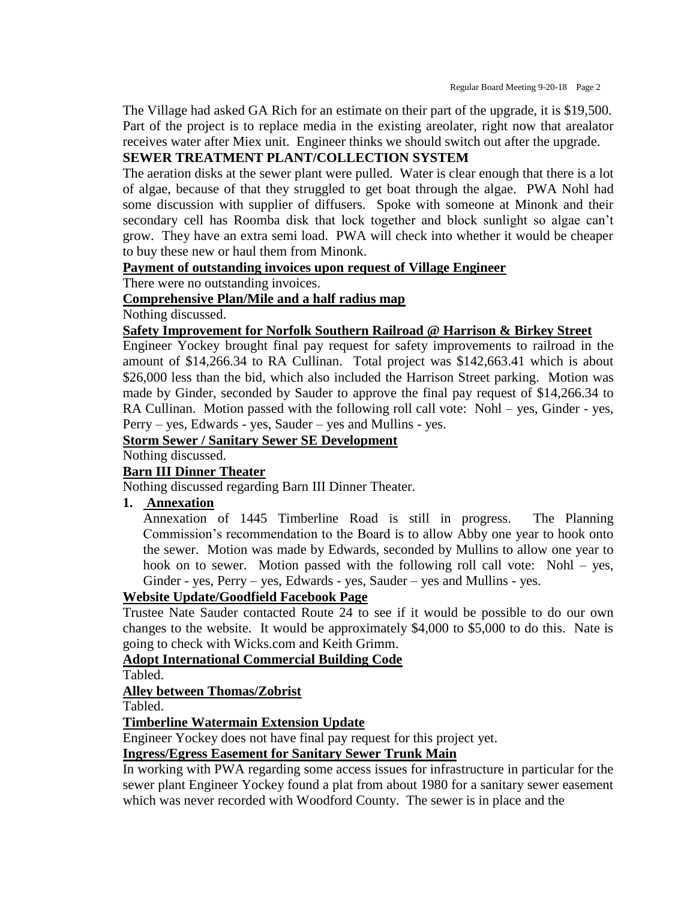The Village had asked GA Rich for an estimate on their part of the upgrade, it is \$19,500. Part of the project is to replace media in the existing areolater, right now that arealator receives water after Miex unit. Engineer thinks we should switch out after the upgrade.

## **SEWER TREATMENT PLANT/COLLECTION SYSTEM**

The aeration disks at the sewer plant were pulled. Water is clear enough that there is a lot of algae, because of that they struggled to get boat through the algae. PWA Nohl had some discussion with supplier of diffusers. Spoke with someone at Minonk and their secondary cell has Roomba disk that lock together and block sunlight so algae can't grow. They have an extra semi load. PWA will check into whether it would be cheaper to buy these new or haul them from Minonk.

#### **Payment of outstanding invoices upon request of Village Engineer**

There were no outstanding invoices.

## **Comprehensive Plan/Mile and a half radius map**

Nothing discussed.

#### **Safety Improvement for Norfolk Southern Railroad @ Harrison & Birkey Street**

Engineer Yockey brought final pay request for safety improvements to railroad in the amount of \$14,266.34 to RA Cullinan. Total project was \$142,663.41 which is about \$26,000 less than the bid, which also included the Harrison Street parking. Motion was made by Ginder, seconded by Sauder to approve the final pay request of \$14,266.34 to RA Cullinan. Motion passed with the following roll call vote: Nohl – yes, Ginder - yes, Perry – yes, Edwards - yes, Sauder – yes and Mullins - yes.

# **Storm Sewer / Sanitary Sewer SE Development**

Nothing discussed.

## **Barn III Dinner Theater**

Nothing discussed regarding Barn III Dinner Theater.

#### **1. Annexation**

Annexation of 1445 Timberline Road is still in progress. The Planning Commission's recommendation to the Board is to allow Abby one year to hook onto the sewer. Motion was made by Edwards, seconded by Mullins to allow one year to hook on to sewer. Motion passed with the following roll call vote: Nohl – yes, Ginder - yes, Perry – yes, Edwards - yes, Sauder – yes and Mullins - yes.

## **Website Update/Goodfield Facebook Page**

Trustee Nate Sauder contacted Route 24 to see if it would be possible to do our own changes to the website. It would be approximately \$4,000 to \$5,000 to do this. Nate is going to check with Wicks.com and Keith Grimm.

#### **Adopt International Commercial Building Code**

Tabled.

## **Alley between Thomas/Zobrist**

Tabled.

## **Timberline Watermain Extension Update**

Engineer Yockey does not have final pay request for this project yet.

#### **Ingress/Egress Easement for Sanitary Sewer Trunk Main**

In working with PWA regarding some access issues for infrastructure in particular for the sewer plant Engineer Yockey found a plat from about 1980 for a sanitary sewer easement which was never recorded with Woodford County. The sewer is in place and the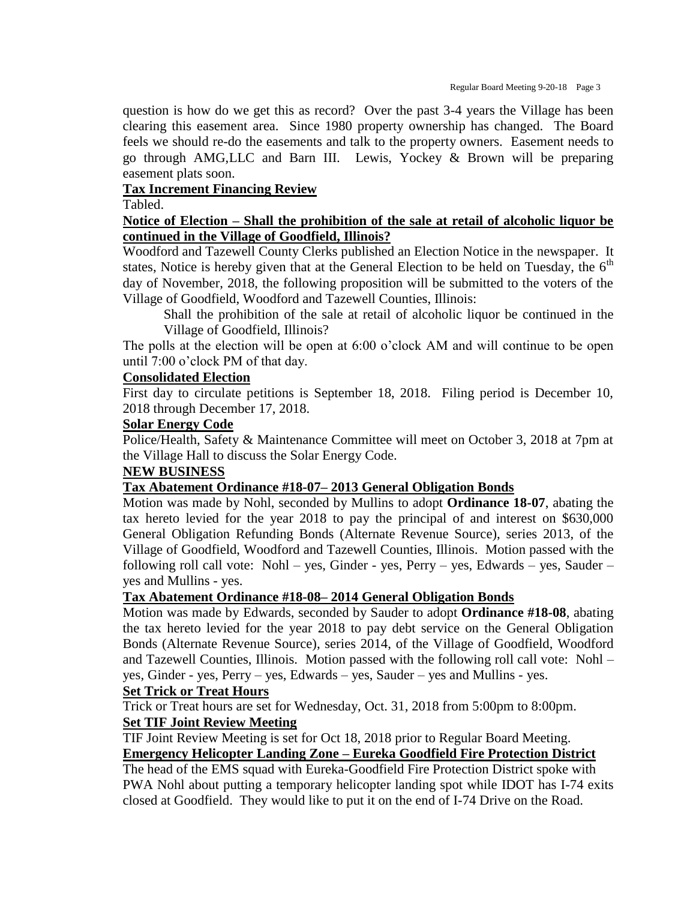question is how do we get this as record? Over the past 3-4 years the Village has been clearing this easement area. Since 1980 property ownership has changed. The Board feels we should re-do the easements and talk to the property owners. Easement needs to go through AMG,LLC and Barn III. Lewis, Yockey & Brown will be preparing easement plats soon.

## **Tax Increment Financing Review**

Tabled.

## **Notice of Election – Shall the prohibition of the sale at retail of alcoholic liquor be continued in the Village of Goodfield, Illinois?**

Woodford and Tazewell County Clerks published an Election Notice in the newspaper. It states, Notice is hereby given that at the General Election to be held on Tuesday, the  $6<sup>th</sup>$ day of November, 2018, the following proposition will be submitted to the voters of the Village of Goodfield, Woodford and Tazewell Counties, Illinois:

Shall the prohibition of the sale at retail of alcoholic liquor be continued in the Village of Goodfield, Illinois?

The polls at the election will be open at 6:00 o'clock AM and will continue to be open until 7:00 o'clock PM of that day.

## **Consolidated Election**

First day to circulate petitions is September 18, 2018. Filing period is December 10, 2018 through December 17, 2018.

#### **Solar Energy Code**

Police/Health, Safety & Maintenance Committee will meet on October 3, 2018 at 7pm at the Village Hall to discuss the Solar Energy Code.

## **NEW BUSINESS**

## **Tax Abatement Ordinance #18-07– 2013 General Obligation Bonds**

Motion was made by Nohl, seconded by Mullins to adopt **Ordinance 18-07**, abating the tax hereto levied for the year 2018 to pay the principal of and interest on \$630,000 General Obligation Refunding Bonds (Alternate Revenue Source), series 2013, of the Village of Goodfield, Woodford and Tazewell Counties, Illinois. Motion passed with the following roll call vote: Nohl – yes, Ginder - yes, Perry – yes, Edwards – yes, Sauder – yes and Mullins - yes.

## **Tax Abatement Ordinance #18-08– 2014 General Obligation Bonds**

Motion was made by Edwards, seconded by Sauder to adopt **Ordinance #18-08**, abating the tax hereto levied for the year 2018 to pay debt service on the General Obligation Bonds (Alternate Revenue Source), series 2014, of the Village of Goodfield, Woodford and Tazewell Counties, Illinois. Motion passed with the following roll call vote: Nohl – yes, Ginder - yes, Perry – yes, Edwards – yes, Sauder – yes and Mullins - yes.

#### **Set Trick or Treat Hours**

Trick or Treat hours are set for Wednesday, Oct. 31, 2018 from 5:00pm to 8:00pm. **Set TIF Joint Review Meeting**

TIF Joint Review Meeting is set for Oct 18, 2018 prior to Regular Board Meeting. **Emergency Helicopter Landing Zone – Eureka Goodfield Fire Protection District**

The head of the EMS squad with Eureka-Goodfield Fire Protection District spoke with PWA Nohl about putting a temporary helicopter landing spot while IDOT has I-74 exits closed at Goodfield. They would like to put it on the end of I-74 Drive on the Road.